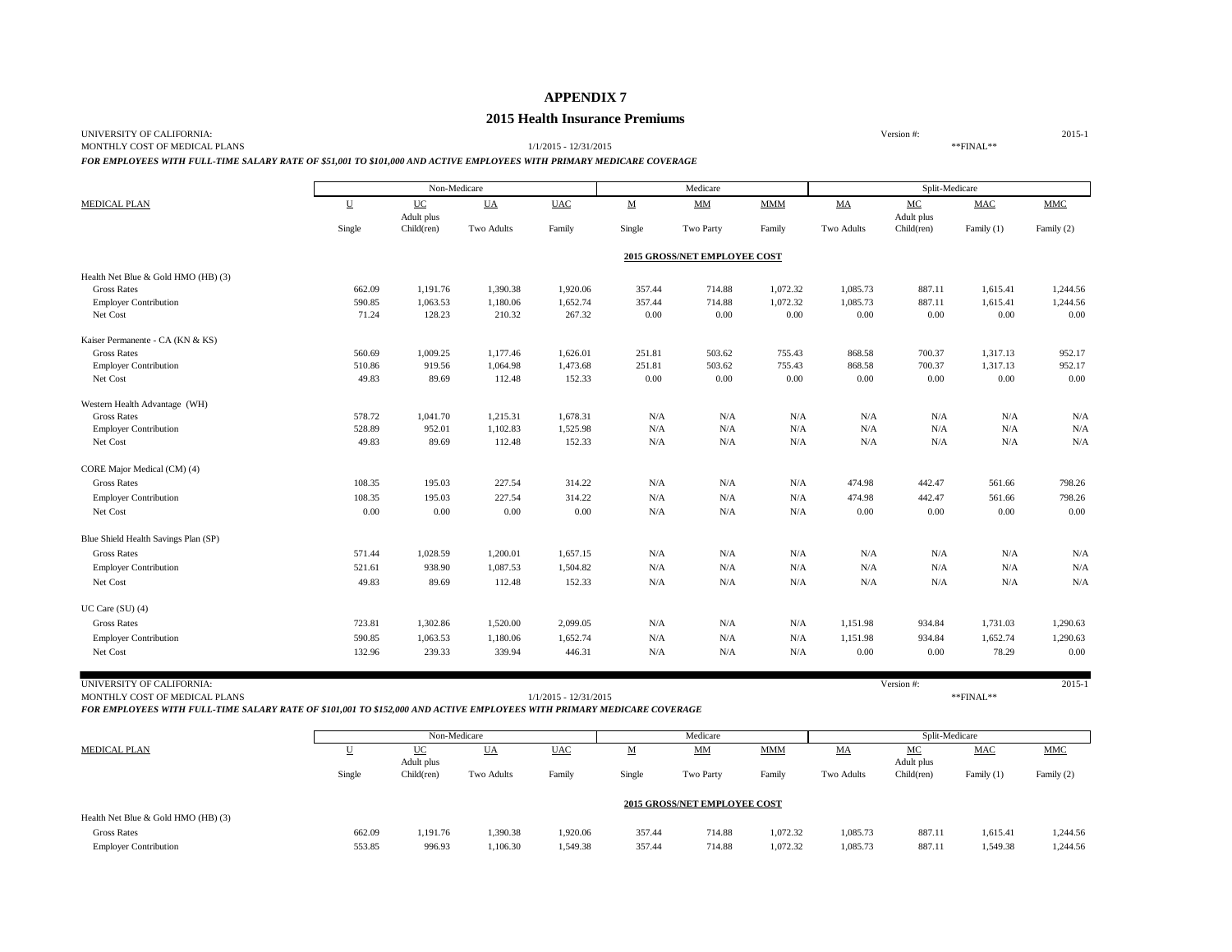## **APPENDIX 7**

## **2015 Health Insurance Premiums**

UNIVERSITY OF CALIFORNIA: 2015-1

MONTHLY COST OF MEDICAL PLANS 1/1/2015 - 12/31/2015 \*\*FINAL\*\*

*FOR EMPLOYEES WITH FULL-TIME SALARY RATE OF \$51,001 TO \$101,000 AND ACTIVE EMPLOYEES WITH PRIMARY MEDICARE COVERAGE*

|                                      |                          | Non-Medicare |            |            |           | Medicare                     |              |            | Split-Medicare |            |            |
|--------------------------------------|--------------------------|--------------|------------|------------|-----------|------------------------------|--------------|------------|----------------|------------|------------|
| <b>MEDICAL PLAN</b>                  | $\underline{\mathbf{U}}$ | UC           | <b>UA</b>  | <b>UAC</b> | ${\bf M}$ | $\text{MM}{}$                | $\text{MMM}$ | MA         | MC             | <b>MAC</b> | <b>MMC</b> |
|                                      |                          | Adult plus   |            |            |           |                              |              |            | Adult plus     |            |            |
|                                      | Single                   | Child(ren)   | Two Adults | Family     | Single    | Two Party                    | Family       | Two Adults | Child(ren)     | Family (1) | Family (2) |
|                                      |                          |              |            |            |           | 2015 GROSS/NET EMPLOYEE COST |              |            |                |            |            |
| Health Net Blue & Gold HMO (HB) (3)  |                          |              |            |            |           |                              |              |            |                |            |            |
| <b>Gross Rates</b>                   | 662.09                   | 1,191.76     | 1,390.38   | 1,920.06   | 357.44    | 714.88                       | 1,072.32     | 1,085.73   | 887.11         | 1,615.41   | 1,244.56   |
| <b>Employer Contribution</b>         | 590.85                   | 1,063.53     | 1,180.06   | 1,652.74   | 357.44    | 714.88                       | 1,072.32     | 1,085.73   | 887.11         | 1,615.41   | 1,244.56   |
| Net Cost                             | 71.24                    | 128.23       | 210.32     | 267.32     | 0.00      | 0.00                         | 0.00         | 0.00       | 0.00           | 0.00       | 0.00       |
| Kaiser Permanente - CA (KN & KS)     |                          |              |            |            |           |                              |              |            |                |            |            |
| <b>Gross Rates</b>                   | 560.69                   | 1,009.25     | 1,177.46   | 1,626.01   | 251.81    | 503.62                       | 755.43       | 868.58     | 700.37         | 1,317.13   | 952.17     |
| <b>Employer Contribution</b>         | 510.86                   | 919.56       | 1,064.98   | 1,473.68   | 251.81    | 503.62                       | 755.43       | 868.58     | 700.37         | 1,317.13   | 952.17     |
| Net Cost                             | 49.83                    | 89.69        | 112.48     | 152.33     | 0.00      | 0.00                         | 0.00         | 0.00       | 0.00           | 0.00       | 0.00       |
| Western Health Advantage (WH)        |                          |              |            |            |           |                              |              |            |                |            |            |
| <b>Gross Rates</b>                   | 578.72                   | 1,041.70     | 1,215.31   | 1,678.31   | $\rm N/A$ | N/A                          | N/A          | N/A        | N/A            | N/A        | N/A        |
| <b>Employer Contribution</b>         | 528.89                   | 952.01       | 1,102.83   | 1,525.98   | N/A       | N/A                          | N/A          | N/A        | N/A            | N/A        | N/A        |
| Net Cost                             | 49.83                    | 89.69        | 112.48     | 152.33     | N/A       | N/A                          | N/A          | N/A        | N/A            | N/A        | N/A        |
| CORE Major Medical (CM) (4)          |                          |              |            |            |           |                              |              |            |                |            |            |
| <b>Gross Rates</b>                   | 108.35                   | 195.03       | 227.54     | 314.22     | N/A       | N/A                          | N/A          | 474.98     | 442.47         | 561.66     | 798.26     |
| <b>Employer Contribution</b>         | 108.35                   | 195.03       | 227.54     | 314.22     | N/A       | N/A                          | N/A          | 474.98     | 442.47         | 561.66     | 798.26     |
| Net Cost                             | 0.00                     | 0.00         | 0.00       | 0.00       | N/A       | N/A                          | N/A          | 0.00       | 0.00           | 0.00       | $0.00\,$   |
| Blue Shield Health Savings Plan (SP) |                          |              |            |            |           |                              |              |            |                |            |            |
| <b>Gross Rates</b>                   | 571.44                   | 1,028.59     | 1,200.01   | 1,657.15   | N/A       | N/A                          | N/A          | N/A        | N/A            | N/A        | N/A        |
| <b>Employer Contribution</b>         | 521.61                   | 938.90       | 1,087.53   | 1,504.82   | N/A       | N/A                          | N/A          | N/A        | N/A            | N/A        | N/A        |
| Net Cost                             | 49.83                    | 89.69        | 112.48     | 152.33     | N/A       | N/A                          | N/A          | N/A        | N/A            | N/A        | N/A        |
| UC Care (SU) (4)                     |                          |              |            |            |           |                              |              |            |                |            |            |
| <b>Gross Rates</b>                   | 723.81                   | 1,302.86     | 1,520.00   | 2,099.05   | N/A       | N/A                          | N/A          | 1,151.98   | 934.84         | 1,731.03   | 1,290.63   |
| <b>Employer Contribution</b>         | 590.85                   | 1,063.53     | 1,180.06   | 1,652.74   | N/A       | N/A                          | N/A          | 1,151.98   | 934.84         | 1,652.74   | 1,290.63   |
| Net Cost                             | 132.96                   | 239.33       | 339.94     | 446.31     | N/A       | N/A                          | N/A          | 0.00       | 0.00           | 78.29      | 0.00       |
|                                      |                          |              |            |            |           |                              |              |            |                |            |            |
| UNIVERSITY OF CALIFORNIA:            |                          |              |            |            |           |                              |              |            | Version #:     |            | $2015 - 1$ |

MONTHLY COST OF MEDICAL PLANS 1/1/2015 - 12/31/2015 \*\*FINAL\*\*

*FOR EMPLOYEES WITH FULL-TIME SALARY RATE OF \$101,001 TO \$152,000 AND ACTIVE EMPLOYEES WITH PRIMARY MEDICARE COVERAGE*

|                                     |                                     | Non-Medicare |            |            |        | Medicare       |            |            | Split-Medicare |            |            |
|-------------------------------------|-------------------------------------|--------------|------------|------------|--------|----------------|------------|------------|----------------|------------|------------|
| <b>MEDICAL PLAN</b>                 | $\overline{\mathbf{u}}$             | UC           | UA         | <b>UAC</b> | M      | $_{\text{MM}}$ | <b>MMM</b> | MA         | MC             | <b>MAC</b> | <b>MMC</b> |
|                                     |                                     | Adult plus   |            |            |        |                |            |            | Adult plus     |            |            |
|                                     | Single                              | Child(ren)   | Two Adults | Family     | Single | Two Party      | Family     | Two Adults | Child(ren)     | Family (1) | Family (2) |
|                                     |                                     |              |            |            |        |                |            |            |                |            |            |
|                                     | <b>2015 GROSS/NET EMPLOYEE COST</b> |              |            |            |        |                |            |            |                |            |            |
| Health Net Blue & Gold HMO (HB) (3) |                                     |              |            |            |        |                |            |            |                |            |            |
| <b>Gross Rates</b>                  | 662.09                              | 1,191.76     | 1,390.38   | 1,920.06   | 357.44 | 714.88         | 1,072.32   | 1,085.73   | 887.11         | 1,615.41   | 1,244.56   |
| <b>Employer Contribution</b>        | 553.85                              | 996.93       | 1,106.30   | 1,549.38   | 357.44 | 714.88         | 1,072.32   | 1,085.73   | 887.11         | 1,549.38   | 1,244.56   |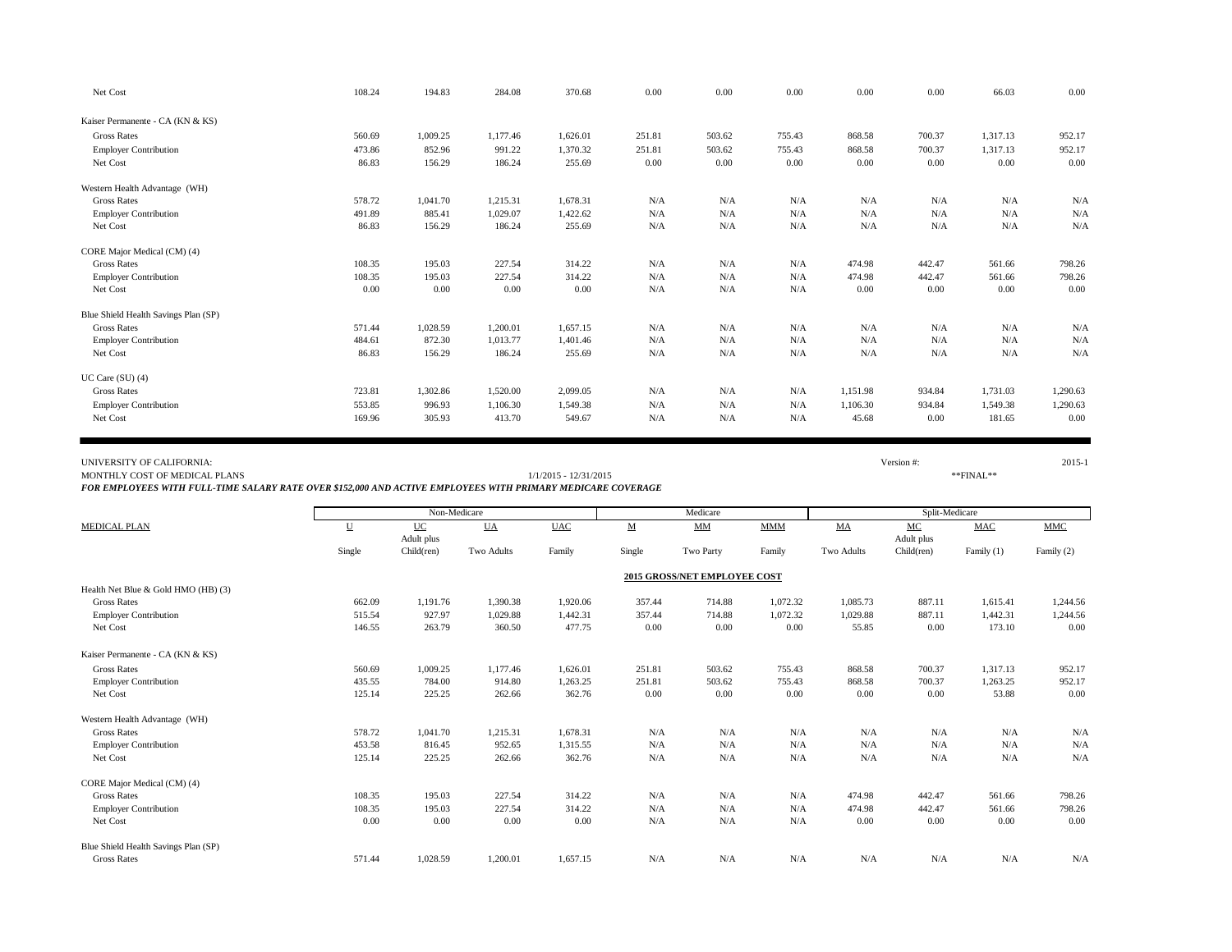| Net Cost                             | 108.24 | 194.83   | 284.08   | 370.68   | 0.00   | 0.00   | 0.00   | 0.00     | 0.00   | 66.03    | 0.00     |
|--------------------------------------|--------|----------|----------|----------|--------|--------|--------|----------|--------|----------|----------|
| Kaiser Permanente - CA (KN & KS)     |        |          |          |          |        |        |        |          |        |          |          |
| <b>Gross Rates</b>                   | 560.69 | 1,009.25 | 1,177.46 | 1,626.01 | 251.81 | 503.62 | 755.43 | 868.58   | 700.37 | 1,317.13 | 952.17   |
| <b>Employer Contribution</b>         | 473.86 | 852.96   | 991.22   | 1.370.32 | 251.81 | 503.62 | 755.43 | 868.58   | 700.37 | 1.317.13 | 952.17   |
| Net Cost                             | 86.83  | 156.29   | 186.24   | 255.69   | 0.00   | 0.00   | 0.00   | 0.00     | 0.00   | 0.00     | 0.00     |
| Western Health Advantage (WH)        |        |          |          |          |        |        |        |          |        |          |          |
| <b>Gross Rates</b>                   | 578.72 | 1,041.70 | 1,215.31 | 1,678.31 | N/A    | N/A    | N/A    | N/A      | N/A    | N/A      | N/A      |
| <b>Employer Contribution</b>         | 491.89 | 885.41   | 1,029.07 | 1,422.62 | N/A    | N/A    | N/A    | N/A      | N/A    | N/A      | N/A      |
| Net Cost                             | 86.83  | 156.29   | 186.24   | 255.69   | N/A    | N/A    | N/A    | N/A      | N/A    | N/A      | N/A      |
| CORE Major Medical (CM) (4)          |        |          |          |          |        |        |        |          |        |          |          |
| <b>Gross Rates</b>                   | 108.35 | 195.03   | 227.54   | 314.22   | N/A    | N/A    | N/A    | 474.98   | 442.47 | 561.66   | 798.26   |
| <b>Employer Contribution</b>         | 108.35 | 195.03   | 227.54   | 314.22   | N/A    | N/A    | N/A    | 474.98   | 442.47 | 561.66   | 798.26   |
| Net Cost                             | 0.00   | 0.00     | 0.00     | 0.00     | N/A    | N/A    | N/A    | 0.00     | 0.00   | 0.00     | 0.00     |
| Blue Shield Health Savings Plan (SP) |        |          |          |          |        |        |        |          |        |          |          |
| <b>Gross Rates</b>                   | 571.44 | 1,028.59 | 1,200.01 | 1,657.15 | N/A    | N/A    | N/A    | N/A      | N/A    | N/A      | N/A      |
| <b>Employer Contribution</b>         | 484.61 | 872.30   | 1,013.77 | 1,401.46 | N/A    | N/A    | N/A    | N/A      | N/A    | N/A      | N/A      |
| Net Cost                             | 86.83  | 156.29   | 186.24   | 255.69   | N/A    | N/A    | N/A    | N/A      | N/A    | N/A      | N/A      |
| UC Care (SU) (4)                     |        |          |          |          |        |        |        |          |        |          |          |
| <b>Gross Rates</b>                   | 723.81 | 1,302.86 | 1,520.00 | 2,099.05 | N/A    | N/A    | N/A    | 1,151.98 | 934.84 | 1,731.03 | 1,290.63 |
| <b>Employer Contribution</b>         | 553.85 | 996.93   | 1,106.30 | 1,549.38 | N/A    | N/A    | N/A    | 1,106.30 | 934.84 | 1,549.38 | 1,290.63 |
| Net Cost                             | 169.96 | 305.93   | 413.70   | 549.67   | N/A    | N/A    | N/A    | 45.68    | 0.00   | 181.65   | 0.00     |

## UNIVERSITY OF CALIFORNIA: 2015-1

MONTHLY COST OF MEDICAL PLANS \*\*\* FINAL\*\*

*FOR EMPLOYEES WITH FULL-TIME SALARY RATE OVER \$152,000 AND ACTIVE EMPLOYEES WITH PRIMARY MEDICARE COVERAGE*

|                                      |        | Non-Medicare            |            |            |                          | Medicare                     |            |            | Split-Medicare   |            |            |
|--------------------------------------|--------|-------------------------|------------|------------|--------------------------|------------------------------|------------|------------|------------------|------------|------------|
| <b>MEDICAL PLAN</b>                  | U      | <b>UC</b><br>Adult plus | <b>UA</b>  | <b>UAC</b> | $\underline{\mathbf{M}}$ | $MM$                         | <b>MMM</b> | MA         | MC<br>Adult plus | <b>MAC</b> | <b>MMC</b> |
|                                      | Single | Child(ren)              | Two Adults | Family     | Single                   | Two Party                    | Family     | Two Adults | Child(ren)       | Family (1) | Family (2) |
|                                      |        |                         |            |            |                          | 2015 GROSS/NET EMPLOYEE COST |            |            |                  |            |            |
| Health Net Blue & Gold HMO (HB) (3)  |        |                         |            |            |                          |                              |            |            |                  |            |            |
| <b>Gross Rates</b>                   | 662.09 | 1,191.76                | 1,390.38   | 1,920.06   | 357.44                   | 714.88                       | 1,072.32   | 1,085.73   | 887.11           | 1,615.41   | 1,244.56   |
| <b>Employer Contribution</b>         | 515.54 | 927.97                  | 1,029.88   | 1,442.31   | 357.44                   | 714.88                       | 1,072.32   | 1,029.88   | 887.11           | 1,442.31   | 1,244.56   |
| Net Cost                             | 146.55 | 263.79                  | 360.50     | 477.75     | 0.00                     | 0.00                         | 0.00       | 55.85      | 0.00             | 173.10     | 0.00       |
| Kaiser Permanente - CA (KN & KS)     |        |                         |            |            |                          |                              |            |            |                  |            |            |
| <b>Gross Rates</b>                   | 560.69 | 1,009.25                | 1,177.46   | 1,626.01   | 251.81                   | 503.62                       | 755.43     | 868.58     | 700.37           | 1.317.13   | 952.17     |
| <b>Employer Contribution</b>         | 435.55 | 784.00                  | 914.80     | 1,263.25   | 251.81                   | 503.62                       | 755.43     | 868.58     | 700.37           | 1,263.25   | 952.17     |
| Net Cost                             | 125.14 | 225.25                  | 262.66     | 362.76     | 0.00                     | 0.00                         | 0.00       | 0.00       | 0.00             | 53.88      | 0.00       |
| Western Health Advantage (WH)        |        |                         |            |            |                          |                              |            |            |                  |            |            |
| <b>Gross Rates</b>                   | 578.72 | 1,041.70                | 1,215.31   | 1,678.31   | N/A                      | N/A                          | N/A        | N/A        | N/A              | N/A        | N/A        |
| <b>Employer Contribution</b>         | 453.58 | 816.45                  | 952.65     | 1,315.55   | N/A                      | N/A                          | N/A        | N/A        | N/A              | N/A        | N/A        |
| Net Cost                             | 125.14 | 225.25                  | 262.66     | 362.76     | N/A                      | N/A                          | N/A        | N/A        | N/A              | N/A        | N/A        |
| CORE Major Medical (CM) (4)          |        |                         |            |            |                          |                              |            |            |                  |            |            |
| <b>Gross Rates</b>                   | 108.35 | 195.03                  | 227.54     | 314.22     | N/A                      | N/A                          | N/A        | 474.98     | 442.47           | 561.66     | 798.26     |
| <b>Employer Contribution</b>         | 108.35 | 195.03                  | 227.54     | 314.22     | N/A                      | N/A                          | N/A        | 474.98     | 442.47           | 561.66     | 798.26     |
| Net Cost                             | 0.00   | 0.00                    | 0.00       | 0.00       | N/A                      | N/A                          | N/A        | 0.00       | 0.00             | 0.00       | 0.00       |
| Blue Shield Health Savings Plan (SP) |        |                         |            |            |                          |                              |            |            |                  |            |            |
| <b>Gross Rates</b>                   | 571.44 | 1,028.59                | 1,200.01   | 1,657.15   | N/A                      | N/A                          | N/A        | N/A        | N/A              | N/A        | N/A        |